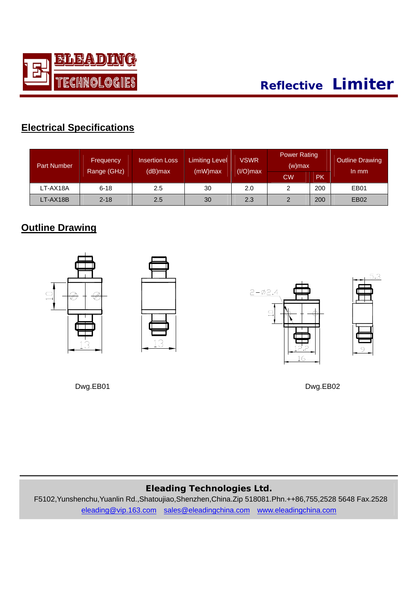

| <b>Part Number</b> | <b>Frequency</b><br>Range (GHz) | <b>Insertion Loss</b><br>(dB)max | <b>Limiting Level</b><br>$(mW)$ max | <b>VSWR</b><br>$(I/O)$ max | <b>Power Rating</b><br>$(w)$ max |     | Outline Drawing<br>In mm |
|--------------------|---------------------------------|----------------------------------|-------------------------------------|----------------------------|----------------------------------|-----|--------------------------|
|                    |                                 |                                  |                                     |                            | <b>CW</b>                        | РK  |                          |
| LT-AX18A           | $6 - 18$                        | 2.5                              | 30                                  | 2.0                        | 2                                | 200 | EB01                     |
| LT-AX18B           | $2 - 18$                        | 2.5                              | 30                                  | 2.3                        | 2                                | 200 | <b>EB02</b>              |

## **Outline Drawing**



Dwg.EB01 Dwg.EB02

## **Eleading Technologies Ltd.**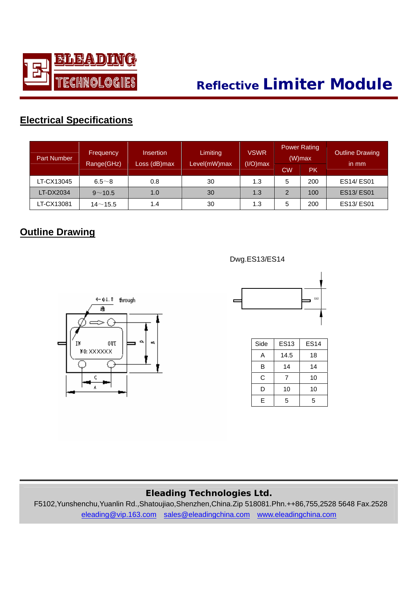

| <b>Part Number</b> | <b>Frequency</b> | <b>Insertion</b><br>Range(GHz)<br>Loss (dB)max |              | <b>VSWR</b><br>$(I/O)$ max |    | <b>Power Rating</b><br>$(W)$ max | <b>Outline Drawing</b><br>in mm |  |
|--------------------|------------------|------------------------------------------------|--------------|----------------------------|----|----------------------------------|---------------------------------|--|
|                    |                  |                                                | Level(mW)max |                            | СW | <b>PK</b>                        |                                 |  |
| LT-CX13045         | $6.5 - 8$        | 0.8                                            | 30           | 1.3                        | 5  | 200                              | <b>ES14/ES01</b>                |  |
| LT-DX2034          | $9^{\sim}10.5$   | 1.0                                            | 30           | 1.3                        | 2  | 100                              | <b>ES13/ES01</b>                |  |
| LT-CX13081         | $14 - 15.5$      | 1.4                                            | 30           | 1.3                        | 5  | 200                              | <b>ES13/ES01</b>                |  |

## **Outline Drawing**



Dwg.ES13/ES14



| Side | <b>ES13</b> | <b>ES14</b> |
|------|-------------|-------------|
| Α    | 14.5        | 18          |
| B    | 14          | 14          |
| C    | 7           | 10          |
| D    | 10          | 10          |
| F    | 5           | 5           |

#### **Eleading Technologies Ltd.**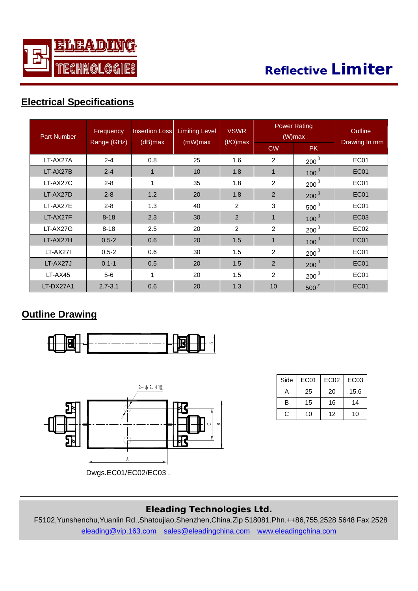

# **Reflective Limiter**

## **Electrical Specifications**

| <b>Part Number</b> | Frequency   | <b>Insertion Loss</b><br>$(dB)$ max | <b>Limiting Level</b><br>$(mW)$ max | <b>VSWR</b><br>$(I/O)$ max |             | <b>Power Rating</b><br>$(W)$ max | <b>Outline</b><br>Drawing In mm |
|--------------------|-------------|-------------------------------------|-------------------------------------|----------------------------|-------------|----------------------------------|---------------------------------|
|                    | Range (GHz) |                                     |                                     |                            | <b>CW</b>   | <b>PK</b>                        |                                 |
| LT-AX27A           | $2 - 4$     | 0.8                                 | 25                                  | 1.6                        | 2           | $200^{\beta}$                    | EC <sub>01</sub>                |
| LT-AX27B           | $2 - 4$     | 1                                   | 10 <sup>1</sup>                     | 1.8                        | $\mathbf 1$ | $100^{\beta}$                    | EC01                            |
| LT-AX27C           | $2 - 8$     |                                     | 35                                  | 1.8                        | 2           | $200^{\beta}$                    | EC01                            |
| LT-AX27D           | $2 - 8$     | 1.2                                 | 20                                  | 1.8                        | 2           | $200^{\beta}$                    | <b>EC01</b>                     |
| LT-AX27E           | $2 - 8$     | 1.3                                 | 40                                  | 2                          | 3           | $500^{\beta}$                    | EC <sub>01</sub>                |
| LT-AX27F           | $8 - 18$    | 2.3                                 | 30                                  | $\mathcal{P}$              | $\mathbf 1$ | $100^{\beta}$                    | EC <sub>03</sub>                |
| LT-AX27G           | $8 - 18$    | 2.5                                 | 20                                  | 2                          | 2           | $200^{\beta}$                    | EC <sub>02</sub>                |
| LT-AX27H           | $0.5 - 2$   | 0.6                                 | 20                                  | 1.5                        | $\mathbf 1$ | $100^{\beta}$                    | <b>EC01</b>                     |
| LT-AX27I           | $0.5 - 2$   | 0.6                                 | 30                                  | 1.5                        | 2           | $200^{\beta}$                    | EC01                            |
| LT-AX27J           | $0.1 - 1$   | 0.5                                 | 20                                  | 1.5                        | 2           | $200^{\beta}$                    | <b>EC01</b>                     |
| $LT-AX45$          | $5-6$       | 1                                   | 20                                  | 1.5                        | 2           | $200^{\beta}$                    | EC <sub>01</sub>                |
| LT-DX27A1          | $2.7 - 3.1$ | 0.6                                 | 20                                  | 1.3                        | 10          | 500 $^{\gamma}$                  | EC01                            |

#### **Outline Drawing**





| Side | EC01 | EC <sub>02</sub> | EC <sub>03</sub> |
|------|------|------------------|------------------|
| А    | 25   | 20               | 15.6             |
| в    | 15   | 16               | 14               |
| C.   | 10   | 12               | 10               |

#### **Eleading Technologies Ltd.**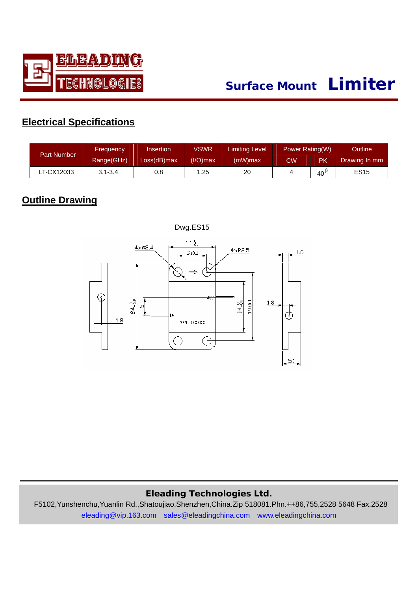

# **Surface Mount Limiter**

## **Electrical Specifications**

| <b>Part Number</b> | Insertion<br><b>Frequency</b> |             | <b>VSWR</b> | Limiting Level | Power Rating(W) |    | <b>Outline</b> |
|--------------------|-------------------------------|-------------|-------------|----------------|-----------------|----|----------------|
|                    | Range(GHz)                    | Loss(dB)max | $(I/O)$ max | (mW)max        | CW              | PK | Drawing In mm  |
| LT-CX12033         | $3.1 - 3.4$                   | 0.8         | 1.25        | 20             |                 | 40 | <b>ES15</b>    |

#### **Outline Drawing**



Dwg.ES15

#### **Eleading Technologies Ltd.**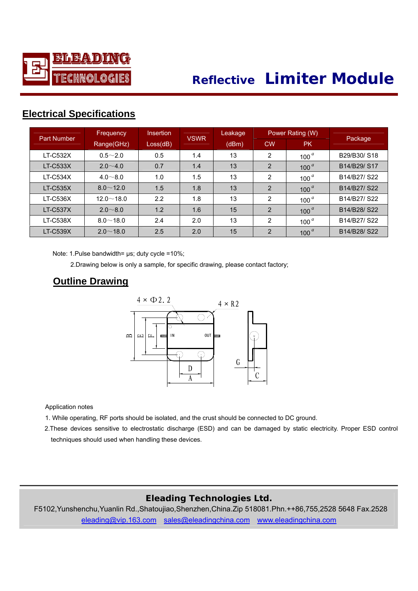

# **Reflective Limiter Module**

## **Electri cal Specifications**

| <b>Part Number</b> | <b>Frequency</b> | <b>Insertion</b> | <b>VSWR</b> | Leakage |                | Power Rating (W) |                                                   |
|--------------------|------------------|------------------|-------------|---------|----------------|------------------|---------------------------------------------------|
|                    | Range(GHz)       | Loss(dB)         |             | (dBm)   | <b>CW</b>      | <b>PK</b>        | Package                                           |
| <b>LT-C532X</b>    | $0.5 - 2.0$      | 0.5              | 1.4         | 13      | 2              | 100 $a$          | B29/B30/S18                                       |
| $LT-C533X$         | $2.0 - 4.0$      | 0.7              | 1.4         | 13      | 2              | 100 $a$          | B14/B29/S17                                       |
| $LT-C534X$         | $4.0 - 8.0$      | 1.0              | 1.5         | 13      | $\overline{2}$ | 100 $a$          | B <sub>14</sub> /B <sub>27</sub> /S <sub>22</sub> |
| <b>LT-C535X</b>    | $8.0 \sim 12.0$  | 1.5              | 1.8         | 13      | 2              | 100 $a$          | B14/B27/S22                                       |
| <b>LT-C536X</b>    | $12.0 \sim 18.0$ | 2.2              | 1.8         | 13      | $\overline{2}$ | 100 $a$          | B14/B27/S22                                       |
| $LT-C537X$         | $2.0 \sim 8.0$   | 1.2              | 1.6         | 15      | 2              | 100 $a$          | B14/B28/S22                                       |
| <b>LT-C538X</b>    | $8.0 - 18.0$     | 2.4              | 2.0         | 13      | $\overline{2}$ | 100 $a$          | B14/B27/S22                                       |
| <b>LT-C539X</b>    | $2.0 \sim 18.0$  | 2.5              | 2.0         | 15      | 2              | 100 $^a$         | B14/B28/S22                                       |

Note: 1.Pulse bandwidth= μs; duty cycle =10%;

2.Drawing below is only a sample, for specific drawing, please contact factory;

#### **Outline Drawing**



Application notes

1. While operating, RF ports should be isolated, and the crust should be connected to DC ground.

 2.These devices sensitive to electrostatic discharge (ESD) and can be damaged by static electricity. Proper ESD control techniques should used when handling these devices.

#### **Eleading Technologies Ltd.**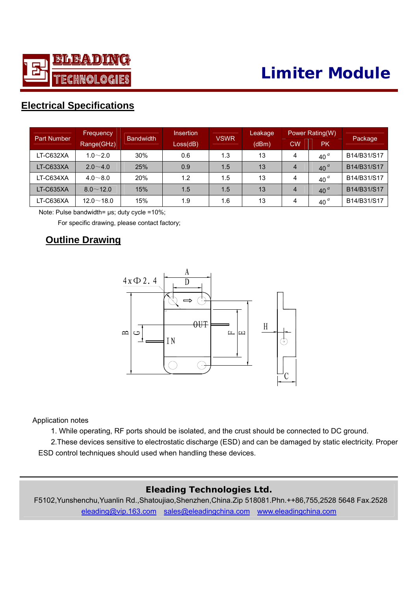

# **Limiter Module**

## **Elec trical Specifications**

|                    | <b>Frequency</b> | <b>Bandwidth</b> | Insertion | <b>VSWR</b> | Leakage |           | Power Rating(W) |             |
|--------------------|------------------|------------------|-----------|-------------|---------|-----------|-----------------|-------------|
| <b>Part Number</b> | Range(GHz)       |                  | Loss(dB)  |             | (dBm)   | <b>CW</b> | <b>PK</b>       | Package     |
| LT-C632XA          | $1.0 - 2.0$      | 30%              | 0.6       | 1.3         | 13      | 4         | 40 $a$          | B14/B31/S17 |
| LT-C633XA          | $2.0 - 4.0$      | 25%              | 0.9       | 1.5         | 13      | 4         | 40 <sup>a</sup> | B14/B31/S17 |
| LT-C634XA          | $4.0 - 8.0$      | 20%              | 1.2       | 1.5         | 13      | 4         | 40 <sup>a</sup> | B14/B31/S17 |
| LT-C635XA          | $8.0 \sim 12.0$  | 15%              | 1.5       | 1.5         | 13      | 4         | 40 <sup>a</sup> | B14/B31/S17 |
| LT-C636XA          | $12.0 \sim 18.0$ | 15%              | 1.9       | 1.6         | 13      | 4         | 40 <sup>a</sup> | B14/B31/S17 |

Note: Pulse bandwidth= μs; duty cycle =10%;

For specific drawing, please contact factory;

#### **Outline Drawing**



Application notes

1. While operating, RF ports should be isolated, and the crust should be connected to DC ground.

2.These devices sensitive to electrostatic discharge (ESD) and can be damaged by static electricity. Proper ESD control techniques should used when handling these devices.

#### **Eleading Technologies Ltd.**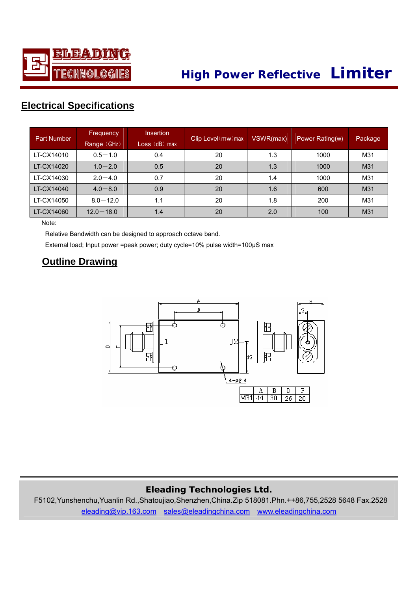

# **High Power Reflective Limiter**

## **Elec trical Specifications**

| <b>Part Number</b> | Frequency<br>Range (GHz) | <b>Insertion</b><br>$Loss$ $(dB)$ max | Clip Level (mw) max | VSWR(max) | Power Rating(w) | Package |
|--------------------|--------------------------|---------------------------------------|---------------------|-----------|-----------------|---------|
| LT-CX14010         | $0.5 - 1.0$              | 0.4                                   | 20                  | 1.3       | 1000            | M31     |
| LT-CX14020         | $1.0 - 2.0$              | 0.5                                   | 20                  | 1.3       | 1000            | M31     |
| LT-CX14030         | $2.0 - 4.0$              | 0.7                                   | 20                  | 1.4       | 1000            | M31     |
| LT-CX14040         | $4.0 - 8.0$              | 0.9                                   | 20                  | 1.6       | 600             | M31     |
| LT-CX14050         | $8.0 - 12.0$             | 1.1                                   | 20                  | 1.8       | 200             | M31     |
| LT-CX14060         | $12.0 - 18.0$            | 1.4                                   | 20                  | 2.0       | 100             | M31     |

Note:

Relative Bandwidth can be designed to approach octave band.

External load; Input power =peak power; duty cycle=10% pulse width=100μS max

#### **Outline Drawing**



#### **Eleading Technologies Ltd.**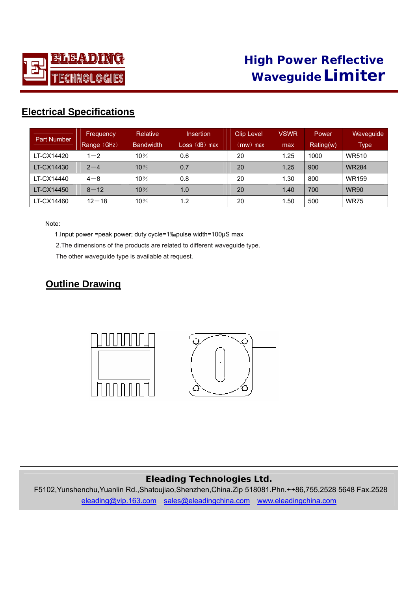

| <b>Part Number</b> | Frequency   | <b>Relative</b>  | <b>Insertion</b> | Clip Level          | <b>VSWR</b> | Power     | <b>Waveguide</b> |
|--------------------|-------------|------------------|------------------|---------------------|-------------|-----------|------------------|
|                    | Range (GHz) | <b>Bandwidth</b> | Loss (dB) max    | $\mathsf{(mw)}$ max | max         | Rating(w) | <b>Type</b>      |
| LT-CX14420         | $1 - 2$     | 10%              | 0.6              | 20                  | 1.25        | 1000      | <b>WR510</b>     |
| LT-CX14430         | $2 - 4$     | 10%              | 0.7              | 20                  | 1.25        | 900       | <b>WR284</b>     |
| LT-CX14440         | $4 - 8$     | 10%              | 0.8              | 20                  | 1.30        | 800       | <b>WR159</b>     |
| LT-CX14450         | $8 - 12$    | 10%              | 1.0              | 20                  | 1.40        | 700       | <b>WR90</b>      |
| LT-CX14460         | $12 - 18$   | 10%              | 1.2              | 20                  | 1.50        | 500       | <b>WR75</b>      |

Note:

1.Input power =peak power; duty cycle=1‰pulse width=100μS max

2.The dimensions of the products are related to different waveguide type.

The other waveguide type is available at request.

## **Outline Drawing**



#### **Eleading Technologies Ltd.**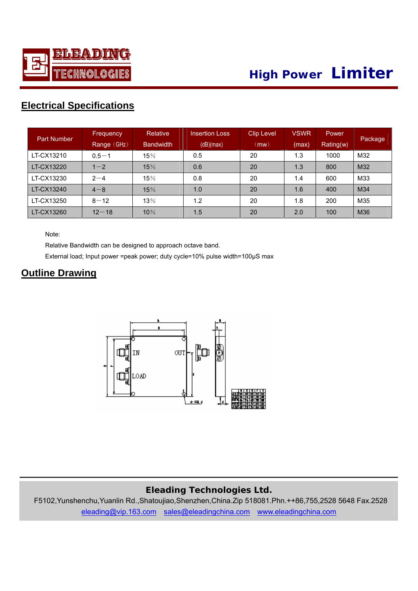

| <b>Part Number</b> | Frequency   | Relative         | <b>Insertion Loss</b> | <b>Clip Level</b> | VSWR  | <b>Power</b> |         |
|--------------------|-------------|------------------|-----------------------|-------------------|-------|--------------|---------|
|                    | Range (GHz) | <b>Bandwidth</b> | (dB)(max)             | (mw)              | (max) | Rating(w)    | Package |
| LT-CX13210         | $0.5 - 1$   | 15%              | 0.5                   | 20                | 1.3   | 1000         | M32     |
| LT-CX13220         | $1 - 2$     | 15%              | 0.6                   | 20                | 1.3   | 800          | M32     |
| LT-CX13230         | $2 - 4$     | 15%              | 0.8                   | 20                | 1.4   | 600          | M33     |
| LT-CX13240         | $4 - 8$     | 15%              | 1.0                   | 20                | 1.6   | 400          | M34     |
| LT-CX13250         | $8 - 12$    | 13%              | 1.2                   | 20                | 1.8   | 200          | M35     |
| LT-CX13260         | $12 - 18$   | 10%              | 1.5                   | 20                | 2.0   | 100          | M36     |

Note:

Relative Bandwidth can be designed to approach octave band.

External load; Input power =peak power; duty cycle=10% pulse width=100μS max

#### **Outline Drawing**



#### **Eleading Technologies Ltd.**